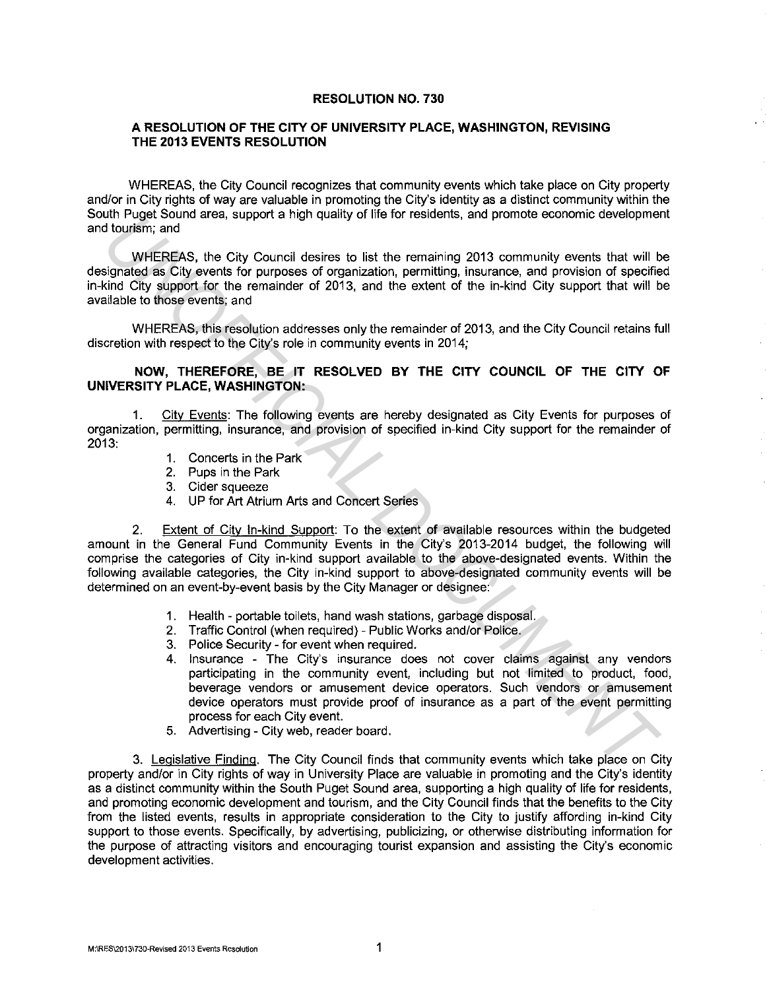## **RESOLUTION NO. 730**

## **A RESOLUTION OF THE CITY OF UNIVERSITY PLACE, WASHINGTON, REVISING THE 2013 EVENTS RESOLUTION**

WHEREAS, the City Council recognizes that community events which take place on City property and/or in City rights of way are valuable in promoting the City's identity as a distinct community within the South Puget Sound area, support a high quality of life for residents, and promote economic development and tourism; and

WHEREAS, the City Council desires to list the remaining 2013 community events that will be designated as City events for purposes of organization, permitting, insurance, and provision of specified in-kind City support for the remainder of 2013, and the extent of the in-kind City support that will be available to those events; and

WHEREAS, this resolution addresses only the remainder of 2013, and the City Council retains full discretion with respect to the City's role in community events in 2014;

## **NOW, THEREFORE, BE IT RESOLVED BY THE CITY COUNCIL OF THE CITY OF UNIVERSITY PLACE, WASHINGTON:**

1. City Events: The following events are hereby designated as City Events for purposes of organization, permitting, insurance, and provision of specified in-kind City support for the remainder of 2013:

- 1. Concerts in the Park
- 2. Pups in the Park
- 3. Cider squeeze
- 4. UP for Art Atrium Arts and Concert Series

2. Extent of City In-kind Support: To the extent of available resources within the budgeted amount in the General Fund Community Events in the City's 2013-2014 budget, the following will comprise the categories of City in-kind support available to the above-designated events. Within the following available categories, the City in-kind support to above-designated community events will be determined on an event-by-event basis by the City Manager or designee: WHEREAS, the City Cauncil desires to list the remaining 2013 community events that will be<br>
Undistributed as City council desires to list the remaining 2013 community events that will be<br>
undistributed as City support for

- 1. Health portable toilets, hand wash stations, garbage disposal.
- 2. Traffic Control (when required) Public Works and/or Police.
- 3. Police Security for event when required.
- 4. Insurance The City's insurance does not cover claims against any vendors participating in the community event, including but not limited to product, food, beverage vendors or amusement device operators. Such vendors or amusement device operators must provide proof of insurance as a part of the event permitting process for each City event.
- 5. Advertising City web, reader board.

3. Legislative Finding. The City Council finds that community events which take place on City property and/or in City rights of way in University Place are valuable in promoting and the City's identity as a distinct community within the South Puget Sound area, supporting a high quality of life for residents, and promoting economic development and tourism, and the City Council finds that the benefits to the City from the listed events, results in appropriate consideration to the City to justify affording in-kind City support to those events. Specifically, by advertising, publicizing, or otherwise distributing information for the purpose of attracting visitors and encouraging tourist expansion and assisting the City's economic development activities.